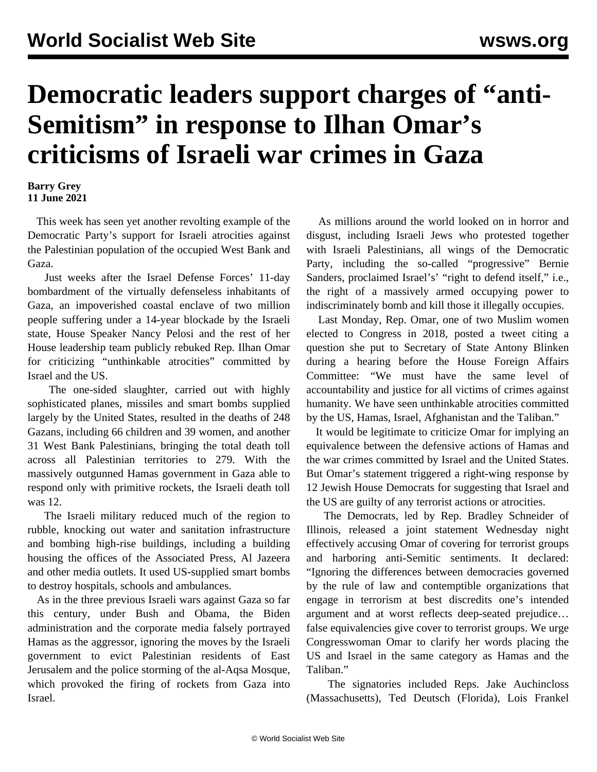## **Democratic leaders support charges of "anti-Semitism" in response to Ilhan Omar's criticisms of Israeli war crimes in Gaza**

## **Barry Grey 11 June 2021**

 This week has seen yet another revolting example of the Democratic Party's support for Israeli atrocities against the Palestinian population of the occupied West Bank and Gaza.

 Just weeks after the Israel Defense Forces' 11-day bombardment of the virtually defenseless inhabitants of Gaza, an impoverished coastal enclave of two million people suffering under a 14-year blockade by the Israeli state, House Speaker Nancy Pelosi and the rest of her House leadership team publicly rebuked Rep. Ilhan Omar for criticizing "unthinkable atrocities" committed by Israel and the US.

 The one-sided slaughter, carried out with highly sophisticated planes, missiles and smart bombs supplied largely by the United States, resulted in the deaths of 248 Gazans, including 66 children and 39 women, and another 31 West Bank Palestinians, bringing the total death toll across all Palestinian territories to 279. With the massively outgunned Hamas government in Gaza able to respond only with primitive rockets, the Israeli death toll was 12.

 The Israeli military reduced much of the region to rubble, knocking out water and sanitation infrastructure and bombing high-rise buildings, including a building housing the offices of the Associated Press, Al Jazeera and other media outlets. It used US-supplied smart bombs to destroy hospitals, schools and ambulances.

 As in the three previous Israeli wars against Gaza so far this century, under Bush and Obama, the Biden administration and the corporate media falsely portrayed Hamas as the aggressor, ignoring the moves by the Israeli government to evict Palestinian residents of East Jerusalem and the police storming of the al-Aqsa Mosque, which provoked the firing of rockets from Gaza into Israel.

 As millions around the world looked on in horror and disgust, including Israeli Jews who protested together with Israeli Palestinians, all wings of the Democratic Party, including the so-called "progressive" Bernie Sanders, proclaimed Israel's' "right to defend itself," i.e., the right of a massively armed occupying power to indiscriminately bomb and kill those it illegally occupies.

 Last Monday, Rep. Omar, one of two Muslim women elected to Congress in 2018, posted a tweet citing a question she put to Secretary of State Antony Blinken during a hearing before the House Foreign Affairs Committee: "We must have the same level of accountability and justice for all victims of crimes against humanity. We have seen unthinkable atrocities committed by the US, Hamas, Israel, Afghanistan and the Taliban."

 It would be legitimate to criticize Omar for implying an equivalence between the defensive actions of Hamas and the war crimes committed by Israel and the United States. But Omar's statement triggered a right-wing response by 12 Jewish House Democrats for suggesting that Israel and the US are guilty of any terrorist actions or atrocities.

 The Democrats, led by Rep. Bradley Schneider of Illinois, released a joint statement Wednesday night effectively accusing Omar of covering for terrorist groups and harboring anti-Semitic sentiments. It declared: "Ignoring the differences between democracies governed by the rule of law and contemptible organizations that engage in terrorism at best discredits one's intended argument and at worst reflects deep-seated prejudice… false equivalencies give cover to terrorist groups. We urge Congresswoman Omar to clarify her words placing the US and Israel in the same category as Hamas and the Taliban."

 The signatories included Reps. Jake Auchincloss (Massachusetts), Ted Deutsch (Florida), Lois Frankel